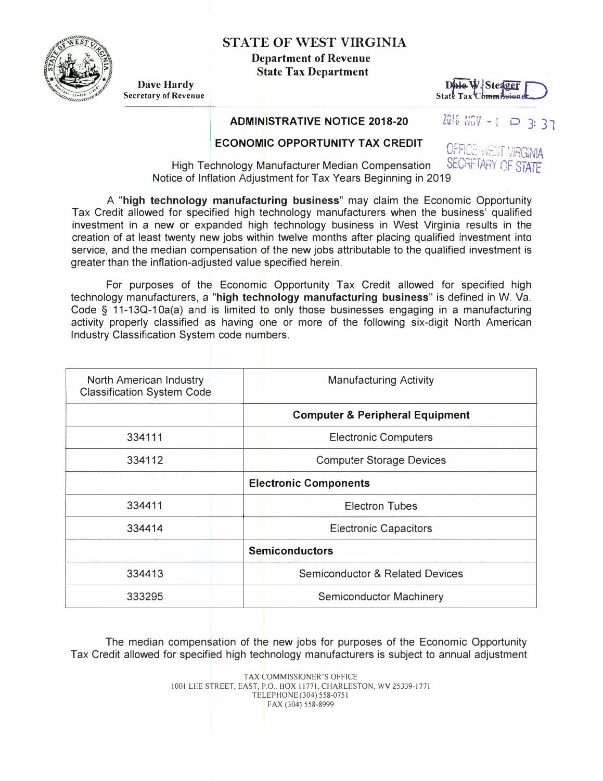

**STATE OF WEST VIRGINIA** 

**Department of Revenue State Tax Department** 

**Dave Hardy**<br>**Secretary of Revenue** 

### **I ADMINISTRATIVE NOTICE 2018-20**



# ZØ16 NOV - 1 **P 3: 37**

## **ECONOMIC OPPORTUNITY TAX CREDIT**

**OFFICE WEST VIRGINIA** High Technology Manufacturer Median Compensation SECRETARY OF STATE Notice of Inflation Adjustment for Tax Years Beginning in 2019

A **"high technology manufacturing business"** may claim the Economic Opportunity Tax Credit allowed for specified high technology manufacturers when the business' qualified investment in a new or expanded high technology business in West Virginia results in the creation of at least twenty new jobs within twelve months after placing qualified investment into service, and the median compensation of the new jobs attributable to the qualified investment is greater than the inflation-adjusted value specified herein.

For purposes of the Economic Opportunity Tax Credit allowed for specified high technology manufacturers, a **"high technology manufacturing business"** is defined in W. Va. Code  $\S$  11-13Q-10a(a) and is limited to only those businesses engaging in a manufacturing activity properly classified as having one or more of the following six-digit North American Industry Classification System code numbers.

| <b>North American Industry</b><br><b>Classification System Code</b> | <b>Manufacturing Activity</b>              |
|---------------------------------------------------------------------|--------------------------------------------|
|                                                                     | <b>Computer &amp; Peripheral Equipment</b> |
| 334111                                                              | <b>Electronic Computers</b>                |
| 334112                                                              | <b>Computer Storage Devices</b>            |
|                                                                     | <b>Electronic Components</b>               |
| 334411                                                              | <b>Electron Tubes</b>                      |
| 334414                                                              | <b>Electronic Capacitors</b>               |
|                                                                     | <b>Semiconductors</b>                      |
| 334413                                                              | <b>Semiconductor &amp; Related Devices</b> |
| 333295                                                              | <b>Semiconductor Machinery</b>             |

The median compensation of the new jobs for purposes of the Economic Opportunity Tax Credit allowed for specified high technology manufacturers is subject to annual adjustment

> TAX COMMISSIONER'S OFFICE 1001 LEE STREET, EAST, P.O .. BOX 11771, CHARLESTON, WV 25339-1771 TELEPHONE (304) 558-0751 FAX (304) 558-8999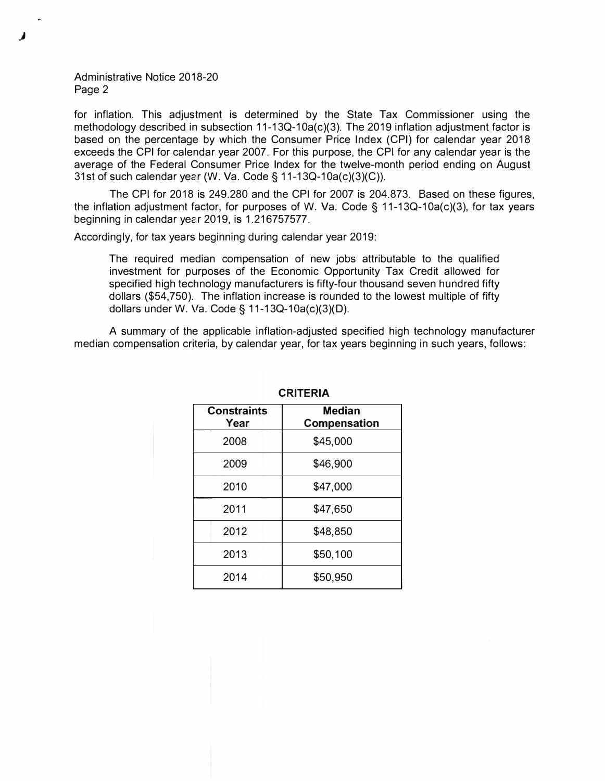#### Administrative Notice 2018-20 Page 2

for inflation. This adjustment is determined by the State Tax Commissioner using the methodology described in subsection 11-13Q-10a(c)(3). The 2019 inflation adjustment factor is based on the percentage by which the Consumer Price Index (CPI) for calendar year 2018 exceeds the CPI for calendar year 2007. For this purpose, the CPI for any calendar year is the average of the Federal Consumer Price Index for the twelve-month period ending on August 31st of such calendar year (W. Va. Code§ 11-13Q-10a(c)(3)(C)).

The CPI for 2018 is 249.280 and the CPI for 2007 is 204.873. Based on these figures, the inflation adjustment factor, for purposes of W. Va. Code§ 11-13Q-10a(c)(3), for tax years beginning in calendar year 2019, is 1.216757577.

Accordingly, for tax years beginning during calendar year 2019:

The required median compensation of new jobs attributable to the qualified investment for purposes of the Economic Opportunity Tax Credit allowed for specified high technology manufacturers is fifty-four thousand seven hundred fifty dollars (\$54,750). The inflation increase is rounded to the lowest multiple of fifty dollars under W. Va. Code§ 11-13Q-10a(c)(3)(D).

A summary of the applicable inflation-adjusted specified high technology manufacturer median compensation criteria, by calendar year, for tax years beginning in such years, follows:

| <b>Median</b><br><b>Compensation</b> |  |  |
|--------------------------------------|--|--|
| \$45,000                             |  |  |
| \$46,900                             |  |  |
| \$47,000                             |  |  |
| \$47,650                             |  |  |
| \$48,850                             |  |  |
| \$50,100                             |  |  |
| \$50,950                             |  |  |
|                                      |  |  |

#### **CRITERIA**